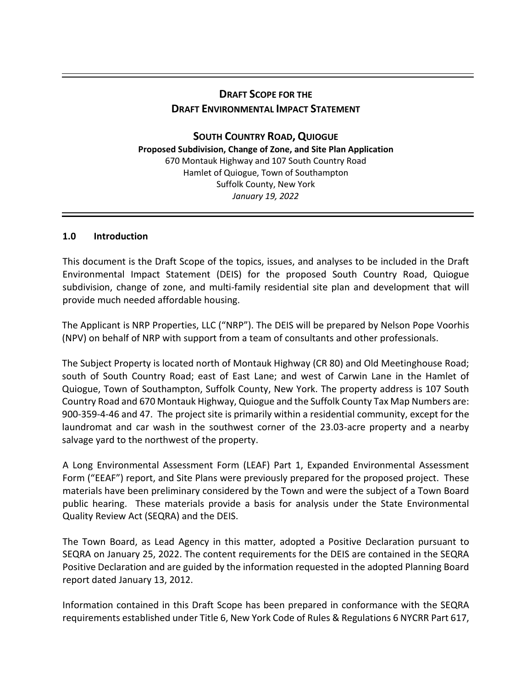# **DRAFT SCOPE FOR THE DRAFT ENVIRONMENTAL IMPACT STATEMENT**

**SOUTH COUNTRY ROAD,QUIOGUE Proposed Subdivision, Change of Zone, and Site Plan Application** 670 Montauk Highway and 107 South Country Road Hamlet of Quiogue, Town of Southampton Suffolk County, New York *January 19, 2022*

# **1.0 Introduction**

This document is the Draft Scope of the topics, issues, and analyses to be included in the Draft Environmental Impact Statement (DEIS) for the proposed South Country Road, Quiogue subdivision, change of zone, and multi-family residential site plan and development that will provide much needed affordable housing.

The Applicant is NRP Properties, LLC ("NRP"). The DEIS will be prepared by Nelson Pope Voorhis (NPV) on behalf of NRP with support from a team of consultants and other professionals.

The Subject Property is located north of Montauk Highway (CR 80) and Old Meetinghouse Road; south of South Country Road; east of East Lane; and west of Carwin Lane in the Hamlet of Quiogue, Town of Southampton, Suffolk County, New York. The property address is 107 South Country Road and 670 Montauk Highway, Quiogue and the Suffolk County Tax Map Numbers are: 900-359-4-46 and 47. The project site is primarily within a residential community, except for the laundromat and car wash in the southwest corner of the 23.03-acre property and a nearby salvage yard to the northwest of the property.

A Long Environmental Assessment Form (LEAF) Part 1, Expanded Environmental Assessment Form ("EEAF") report, and Site Plans were previously prepared for the proposed project. These materials have been preliminary considered by the Town and were the subject of a Town Board public hearing. These materials provide a basis for analysis under the State Environmental Quality Review Act (SEQRA) and the DEIS.

The Town Board, as Lead Agency in this matter, adopted a Positive Declaration pursuant to SEQRA on January 25, 2022. The content requirements for the DEIS are contained in the SEQRA Positive Declaration and are guided by the information requested in the adopted Planning Board report dated January 13, 2012.

Information contained in this Draft Scope has been prepared in conformance with the SEQRA requirements established under Title 6, New York Code of Rules & Regulations 6 NYCRR Part 617,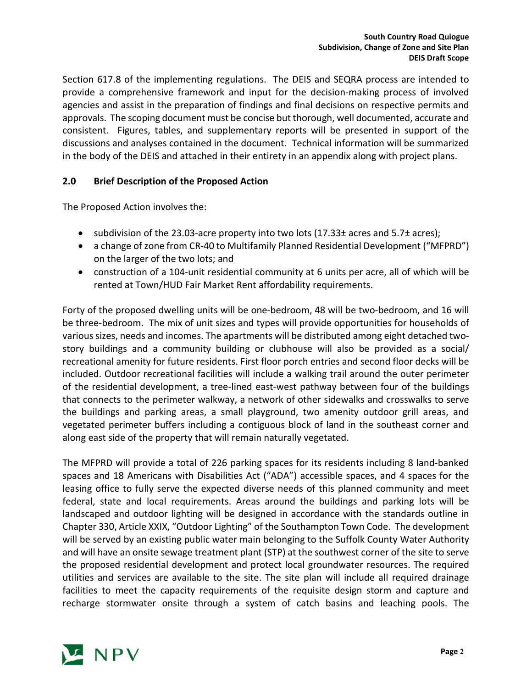Section 617.8 of the implementing regulations. The DEIS and SEQRA process are intended to provide a comprehensive framework and input for the decision-making process of involved agencies and assist in the preparation of findings and final decisions on respective permits and approvals. The scoping document must be concise but thorough, well documented, accurate and consistent. Figures, tables, and supplementary reports will be presented in support of the discussions and analyses contained in the document. Technical information will be summarized in the body of the DEIS and attached in their entirety in an appendix along with project plans.

# **2.0 Brief Description of the Proposed Action**

The Proposed Action involves the:

- subdivision of the 23.03-acre property into two lots (17.33± acres and 5.7± acres);
- a change of zone from CR-40 to Multifamily Planned Residential Development ("MFPRD") on the larger of the two lots; and
- construction of a 104-unit residential community at 6 units per acre, all of which will be rented at Town/HUD Fair Market Rent affordability requirements.

Forty of the proposed dwelling units will be one-bedroom, 48 will be two-bedroom, and 16 will be three-bedroom. The mix of unit sizes and types will provide opportunities for households of various sizes, needs and incomes. The apartments will be distributed among eight detached twostory buildings and a community building or clubhouse will also be provided as a social/ recreational amenity for future residents. First floor porch entries and second floor decks will be included. Outdoor recreational facilities will include a walking trail around the outer perimeter of the residential development, a tree-lined east-west pathway between four of the buildings that connects to the perimeter walkway, a network of other sidewalks and crosswalks to serve the buildings and parking areas, a small playground, two amenity outdoor grill areas, and vegetated perimeter buffers including a contiguous block of land in the southeast corner and along east side of the property that will remain naturally vegetated.

The MFPRD will provide a total of 226 parking spaces for its residents including 8 land-banked spaces and 18 Americans with Disabilities Act ("ADA") accessible spaces, and 4 spaces for the leasing office to fully serve the expected diverse needs of this planned community and meet federal, state and local requirements. Areas around the buildings and parking lots will be landscaped and outdoor lighting will be designed in accordance with the standards outline in Chapter 330, Article XXIX, "Outdoor Lighting" of the Southampton Town Code. The development will be served by an existing public water main belonging to the Suffolk County Water Authority and will have an onsite sewage treatment plant (STP) at the southwest corner of the site to serve the proposed residential development and protect local groundwater resources. The required utilities and services are available to the site. The site plan will include all required drainage facilities to meet the capacity requirements of the requisite design storm and capture and recharge stormwater onsite through a system of catch basins and leaching pools. The

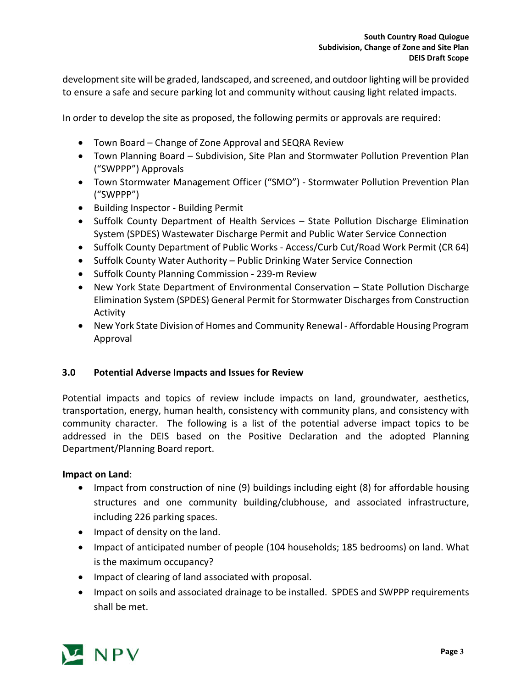development site will be graded, landscaped, and screened, and outdoor lighting will be provided to ensure a safe and secure parking lot and community without causing light related impacts.

In order to develop the site as proposed, the following permits or approvals are required:

- Town Board Change of Zone Approval and SEQRA Review
- Town Planning Board Subdivision, Site Plan and Stormwater Pollution Prevention Plan ("SWPPP") Approvals
- Town Stormwater Management Officer ("SMO") Stormwater Pollution Prevention Plan ("SWPPP")
- Building Inspector Building Permit
- Suffolk County Department of Health Services State Pollution Discharge Elimination System (SPDES) Wastewater Discharge Permit and Public Water Service Connection
- Suffolk County Department of Public Works Access/Curb Cut/Road Work Permit (CR 64)
- Suffolk County Water Authority Public Drinking Water Service Connection
- Suffolk County Planning Commission 239-m Review
- New York State Department of Environmental Conservation State Pollution Discharge Elimination System (SPDES) General Permit for Stormwater Discharges from Construction Activity
- New York State Division of Homes and Community Renewal Affordable Housing Program Approval

# **3.0 Potential Adverse Impacts and Issues for Review**

Potential impacts and topics of review include impacts on land, groundwater, aesthetics, transportation, energy, human health, consistency with community plans, and consistency with community character. The following is a list of the potential adverse impact topics to be addressed in the DEIS based on the Positive Declaration and the adopted Planning Department/Planning Board report.

# **Impact on Land**:

- Impact from construction of nine (9) buildings including eight (8) for affordable housing structures and one community building/clubhouse, and associated infrastructure, including 226 parking spaces.
- Impact of density on the land.
- Impact of anticipated number of people (104 households; 185 bedrooms) on land. What is the maximum occupancy?
- Impact of clearing of land associated with proposal.
- Impact on soils and associated drainage to be installed. SPDES and SWPPP requirements shall be met.

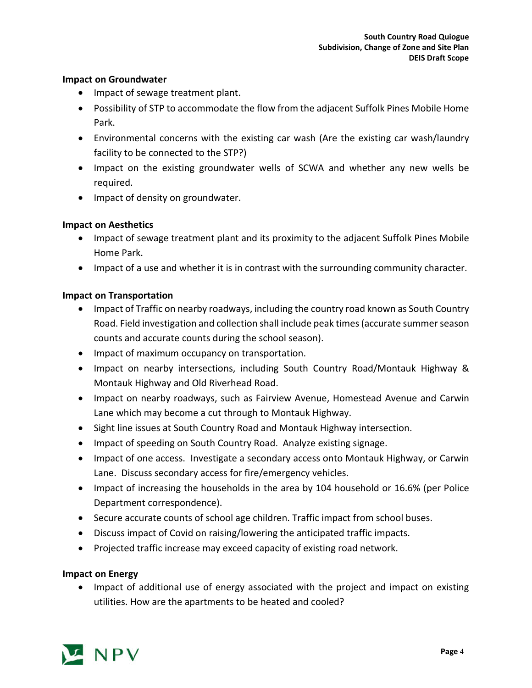# **Impact on Groundwater**

- Impact of sewage treatment plant.
- Possibility of STP to accommodate the flow from the adjacent Suffolk Pines Mobile Home Park.
- Environmental concerns with the existing car wash (Are the existing car wash/laundry facility to be connected to the STP?)
- Impact on the existing groundwater wells of SCWA and whether any new wells be required.
- Impact of density on groundwater.

# **Impact on Aesthetics**

- Impact of sewage treatment plant and its proximity to the adjacent Suffolk Pines Mobile Home Park.
- Impact of a use and whether it is in contrast with the surrounding community character.

# **Impact on Transportation**

- Impact of Traffic on nearby roadways, including the country road known as South Country Road. Field investigation and collection shall include peak times (accurate summer season counts and accurate counts during the school season).
- Impact of maximum occupancy on transportation.
- Impact on nearby intersections, including South Country Road/Montauk Highway & Montauk Highway and Old Riverhead Road.
- Impact on nearby roadways, such as Fairview Avenue, Homestead Avenue and Carwin Lane which may become a cut through to Montauk Highway.
- Sight line issues at South Country Road and Montauk Highway intersection.
- Impact of speeding on South Country Road. Analyze existing signage.
- Impact of one access. Investigate a secondary access onto Montauk Highway, or Carwin Lane. Discuss secondary access for fire/emergency vehicles.
- Impact of increasing the households in the area by 104 household or 16.6% (per Police Department correspondence).
- Secure accurate counts of school age children. Traffic impact from school buses.
- Discuss impact of Covid on raising/lowering the anticipated traffic impacts.
- Projected traffic increase may exceed capacity of existing road network.

# **Impact on Energy**

• Impact of additional use of energy associated with the project and impact on existing utilities. How are the apartments to be heated and cooled?

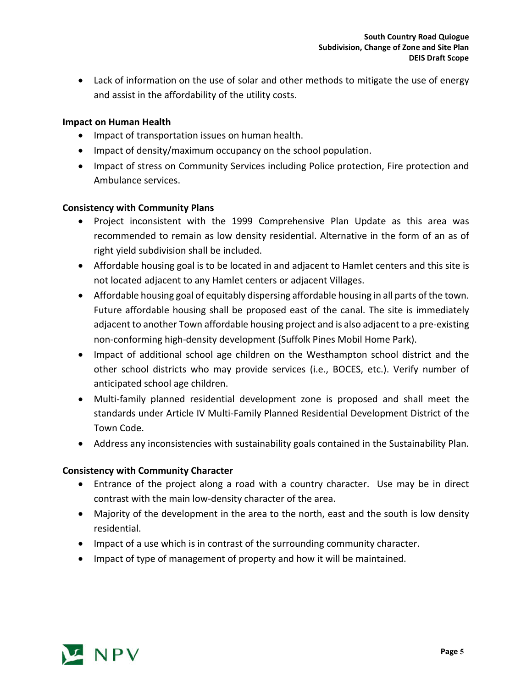• Lack of information on the use of solar and other methods to mitigate the use of energy and assist in the affordability of the utility costs.

# **Impact on Human Health**

- Impact of transportation issues on human health.
- Impact of density/maximum occupancy on the school population.
- Impact of stress on Community Services including Police protection, Fire protection and Ambulance services.

# **Consistency with Community Plans**

- Project inconsistent with the 1999 Comprehensive Plan Update as this area was recommended to remain as low density residential. Alternative in the form of an as of right yield subdivision shall be included.
- Affordable housing goal is to be located in and adjacent to Hamlet centers and this site is not located adjacent to any Hamlet centers or adjacent Villages.
- Affordable housing goal of equitably dispersing affordable housing in all parts of the town. Future affordable housing shall be proposed east of the canal. The site is immediately adjacent to another Town affordable housing project and is also adjacent to a pre-existing non-conforming high-density development (Suffolk Pines Mobil Home Park).
- Impact of additional school age children on the Westhampton school district and the other school districts who may provide services (i.e., BOCES, etc.). Verify number of anticipated school age children.
- Multi-family planned residential development zone is proposed and shall meet the standards under Article IV Multi-Family Planned Residential Development District of the Town Code.
- Address any inconsistencies with sustainability goals contained in the Sustainability Plan.

# **Consistency with Community Character**

- Entrance of the project along a road with a country character. Use may be in direct contrast with the main low-density character of the area.
- Majority of the development in the area to the north, east and the south is low density residential.
- Impact of a use which is in contrast of the surrounding community character.
- Impact of type of management of property and how it will be maintained.

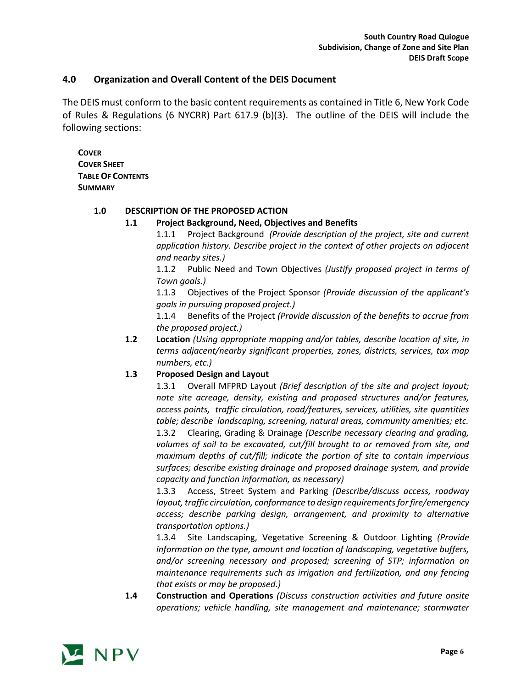### **4.0 Organization and Overall Content of the DEIS Document**

The DEIS must conform to the basic content requirements as contained in Title 6, New York Code of Rules & Regulations (6 NYCRR) Part 617.9 (b)(3). The outline of the DEIS will include the following sections:

**COVER COVER SHEET TABLE OF CONTENTS SUMMARY**

#### **1.0 DESCRIPTION OF THE PROPOSED ACTION**

#### **1.1 Project Background, Need, Objectives and Benefits**

1.1.1 Project Background *(Provide description of the project, site and current application history. Describe project in the context of other projects on adjacent and nearby sites.)*

1.1.2 Public Need and Town Objectives *(Justify proposed project in terms of Town goals.)*

1.1.3 Objectives of the Project Sponsor *(Provide discussion of the applicant's goals in pursuing proposed project.)*

1.1.4 Benefits of the Project *(Provide discussion of the benefits to accrue from the proposed project.)*

**1.2 Location** *(Using appropriate mapping and/or tables, describe location of site, in terms adjacent/nearby significant properties, zones, districts, services, tax map numbers, etc.)*

#### **1.3 Proposed Design and Layout**

1.3.1 Overall MFPRD Layout *(Brief description of the site and project layout; note site acreage, density, existing and proposed structures and/or features, access points, traffic circulation, road/features, services, utilities, site quantities table; describe landscaping, screening, natural areas, community amenities; etc.* 1.3.2 Clearing, Grading & Drainage *(Describe necessary clearing and grading, volumes of soil to be excavated, cut/fill brought to or removed from site, and maximum depths of cut/fill; indicate the portion of site to contain impervious surfaces; describe existing drainage and proposed drainage system, and provide capacity and function information, as necessary)*

1.3.3 Access, Street System and Parking *(Describe/discuss access, roadway layout, traffic circulation, conformance to design requirements for fire/emergency access; describe parking design, arrangement, and proximity to alternative transportation options.)*

1.3.4 Site Landscaping, Vegetative Screening & Outdoor Lighting *(Provide information on the type, amount and location of landscaping, vegetative buffers, and/or screening necessary and proposed; screening of STP; information on maintenance requirements such as irrigation and fertilization, and any fencing that exists or may be proposed.)*

**1.4 Construction and Operations** *(Discuss construction activities and future onsite operations; vehicle handling, site management and maintenance; stormwater* 

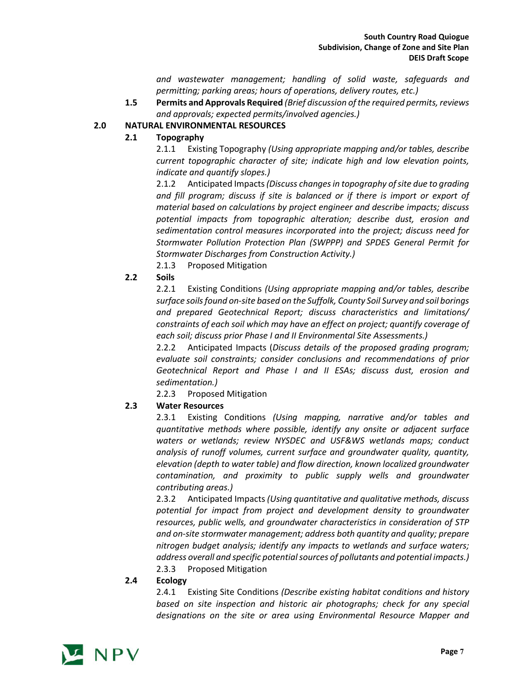*and wastewater management; handling of solid waste, safeguards and permitting; parking areas; hours of operations, delivery routes, etc.)*

**1.5 Permits and Approvals Required** *(Brief discussion of the required permits, reviews and approvals; expected permits/involved agencies.)*

# **2.0 NATURAL ENVIRONMENTAL RESOURCES**

#### **2.1 Topography**

2.1.1 Existing Topography *(Using appropriate mapping and/or tables, describe current topographic character of site; indicate high and low elevation points, indicate and quantify slopes.)*

2.1.2 Anticipated Impacts*(Discuss changes in topography of site due to grading and fill program; discuss if site is balanced or if there is import or export of material based on calculations by project engineer and describe impacts; discuss potential impacts from topographic alteration; describe dust, erosion and sedimentation control measures incorporated into the project; discuss need for Stormwater Pollution Protection Plan (SWPPP) and SPDES General Permit for Stormwater Discharges from Construction Activity.)*

2.1.3 Proposed Mitigation

#### **2.2 Soils**

2.2.1 Existing Conditions *(Using appropriate mapping and/or tables, describe surface soils found on-site based on the Suffolk, County Soil Survey and soil borings and prepared Geotechnical Report; discuss characteristics and limitations/ constraints of each soil which may have an effect on project; quantify coverage of each soil; discuss prior Phase I and II Environmental Site Assessments.)*

2.2.2 Anticipated Impacts (*Discuss details of the proposed grading program; evaluate soil constraints; consider conclusions and recommendations of prior Geotechnical Report and Phase I and II ESAs; discuss dust, erosion and sedimentation.)*

2.2.3 Proposed Mitigation

# **2.3 Water Resources**

2.3.1 Existing Conditions *(Using mapping, narrative and/or tables and quantitative methods where possible, identify any onsite or adjacent surface waters or wetlands; review NYSDEC and USF&WS wetlands maps; conduct analysis of runoff volumes, current surface and groundwater quality, quantity, elevation (depth to water table) and flow direction, known localized groundwater contamination, and proximity to public supply wells and groundwater contributing areas.)*

2.3.2 Anticipated Impacts *(Using quantitative and qualitative methods, discuss potential for impact from project and development density to groundwater resources, public wells, and groundwater characteristics in consideration of STP and on-site stormwater management; address both quantity and quality; prepare nitrogen budget analysis; identify any impacts to wetlands and surface waters; address overall and specific potential sources of pollutants and potential impacts.)* 2.3.3 Proposed Mitigation

#### **2.4 Ecology**

2.4.1 Existing Site Conditions *(Describe existing habitat conditions and history based on site inspection and historic air photographs; check for any special designations on the site or area using Environmental Resource Mapper and* 

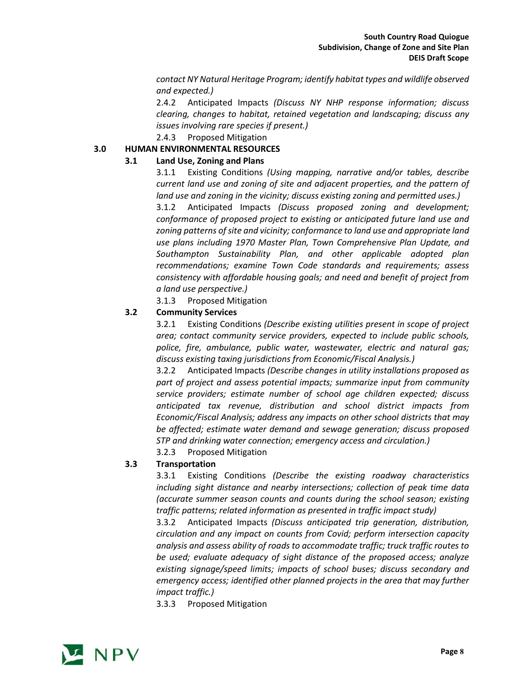*contact NY Natural Heritage Program; identify habitat types and wildlife observed and expected.)*

2.4.2 Anticipated Impacts *(Discuss NY NHP response information; discuss clearing, changes to habitat, retained vegetation and landscaping; discuss any issues involving rare species if present.)*

2.4.3 Proposed Mitigation

#### **3.0 HUMAN ENVIRONMENTAL RESOURCES**

#### **3.1 Land Use, Zoning and Plans**

3.1.1 Existing Conditions *(Using mapping, narrative and/or tables, describe current land use and zoning of site and adjacent properties, and the pattern of land use and zoning in the vicinity; discuss existing zoning and permitted uses.)*

3.1.2 Anticipated Impacts *(Discuss proposed zoning and development; conformance of proposed project to existing or anticipated future land use and*  zoning patterns of site and vicinity; conformance to land use and appropriate land *use plans including 1970 Master Plan, Town Comprehensive Plan Update, and Southampton Sustainability Plan, and other applicable adopted plan recommendations; examine Town Code standards and requirements; assess consistency with affordable housing goals; and need and benefit of project from a land use perspective.)*

3.1.3 Proposed Mitigation

#### **3.2 Community Services**

3.2.1 Existing Conditions *(Describe existing utilities present in scope of project area; contact community service providers, expected to include public schools, police, fire, ambulance, public water, wastewater, electric and natural gas; discuss existing taxing jurisdictions from Economic/Fiscal Analysis.)*

3.2.2 Anticipated Impacts *(Describe changes in utility installations proposed as part of project and assess potential impacts; summarize input from community service providers; estimate number of school age children expected; discuss anticipated tax revenue, distribution and school district impacts from Economic/Fiscal Analysis; address any impacts on other school districts that may be affected; estimate water demand and sewage generation; discuss proposed STP and drinking water connection; emergency access and circulation.)*

3.2.3 Proposed Mitigation

# **3.3 Transportation**

3.3.1 Existing Conditions *(Describe the existing roadway characteristics including sight distance and nearby intersections; collection of peak time data (accurate summer season counts and counts during the school season; existing traffic patterns; related information as presented in traffic impact study)*

3.3.2 Anticipated Impacts *(Discuss anticipated trip generation, distribution, circulation and any impact on counts from Covid; perform intersection capacity analysis and assess ability of roads to accommodate traffic; truck traffic routes to be used; evaluate adequacy of sight distance of the proposed access; analyze existing signage/speed limits; impacts of school buses; discuss secondary and emergency access; identified other planned projects in the area that may further impact traffic.)*

3.3.3 Proposed Mitigation

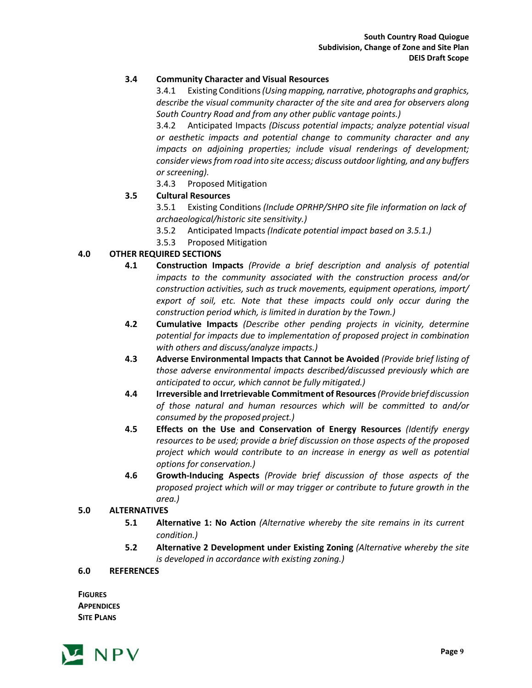# **3.4 Community Character and Visual Resources**

3.4.1 Existing Conditions*(Using mapping, narrative, photographs and graphics, describe the visual community character of the site and area for observers along South Country Road and from any other public vantage points.)*

3.4.2 Anticipated Impacts *(Discuss potential impacts; analyze potential visual or aesthetic impacts and potential change to community character and any impacts on adjoining properties; include visual renderings of development; consider views from road into site access; discuss outdoor lighting, and any buffers or screening).*

3.4.3 Proposed Mitigation

# **3.5 Cultural Resources**

3.5.1 Existing Conditions *(Include OPRHP/SHPO site file information on lack of archaeological/historic site sensitivity.)*

- 3.5.2 Anticipated Impacts *(Indicate potential impact based on 3.5.1.)*
- 3.5.3 Proposed Mitigation

# **4.0 OTHER REQUIRED SECTIONS**

- **4.1 Construction Impacts** *(Provide a brief description and analysis of potential impacts to the community associated with the construction process and/or construction activities, such as truck movements, equipment operations, import/ export of soil, etc. Note that these impacts could only occur during the construction period which, is limited in duration by the Town.)*
- **4.2 Cumulative Impacts** *(Describe other pending projects in vicinity, determine potential for impacts due to implementation of proposed project in combination with others and discuss/analyze impacts.)*
- **4.3 Adverse Environmental Impacts that Cannot be Avoided** *(Provide brief listing of those adverse environmental impacts described/discussed previously which are anticipated to occur, which cannot be fully mitigated.)*
- **4.4 Irreversible and Irretrievable Commitment of Resources***(Provide briefdiscussion of those natural and human resources which will be committed to and/or consumed by the proposed project.)*
- **4.5 Effects on the Use and Conservation of Energy Resources** *(Identify energy resources to be used; provide a brief discussion on those aspects of the proposed project which would contribute to an increase in energy as well as potential options for conservation.)*
- **4.6 Growth-Inducing Aspects** *(Provide brief discussion of those aspects of the proposed project which will or may trigger or contribute to future growth in the area.)*

#### **5.0 ALTERNATIVES**

- **5.1 Alternative 1: No Action** *(Alternative whereby the site remains in its current condition.)*
- **5.2 Alternative 2 Development under Existing Zoning** *(Alternative whereby the site is developed in accordance with existing zoning.)*

#### **6.0 REFERENCES**

**FIGURES APPENDICES SITE PLANS**